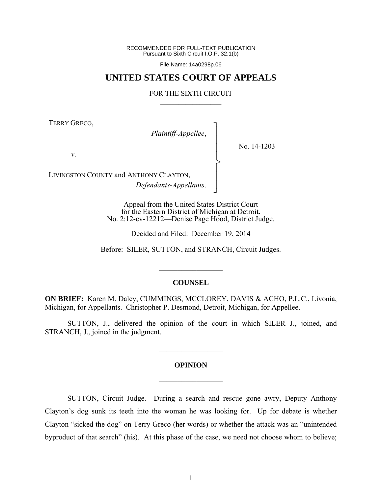RECOMMENDED FOR FULL-TEXT PUBLICATION Pursuant to Sixth Circuit I.O.P. 32.1(b)

File Name: 14a0298p.06

## **UNITED STATES COURT OF APPEALS**

## FOR THE SIXTH CIRCUIT  $\mathcal{L}_\text{max}$

┐ │ │ │ │ │ │ │ ┘

>

TERRY GRECO,

*Plaintiff-Appellee*,

No. 14-1203

*v*.

LIVINGSTON COUNTY and ANTHONY CLAYTON, *Defendants-Appellants*.

> Appeal from the United States District Court for the Eastern District of Michigan at Detroit. No. 2:12-cv-12212—Denise Page Hood, District Judge.

> > Decided and Filed: December 19, 2014

Before: SILER, SUTTON, and STRANCH, Circuit Judges.

## **COUNSEL**

 $\frac{1}{2}$ 

**ON BRIEF:** Karen M. Daley, CUMMINGS, MCCLOREY, DAVIS & ACHO, P.L.C., Livonia, Michigan, for Appellants. Christopher P. Desmond, Detroit, Michigan, for Appellee.

 SUTTON, J., delivered the opinion of the court in which SILER J., joined, and STRANCH, J., joined in the judgment.

## **OPINION**

 $\frac{1}{2}$ 

 $\mathcal{L}_\text{max}$ 

 SUTTON, Circuit Judge. During a search and rescue gone awry, Deputy Anthony Clayton's dog sunk its teeth into the woman he was looking for. Up for debate is whether Clayton "sicked the dog" on Terry Greco (her words) or whether the attack was an "unintended byproduct of that search" (his). At this phase of the case, we need not choose whom to believe;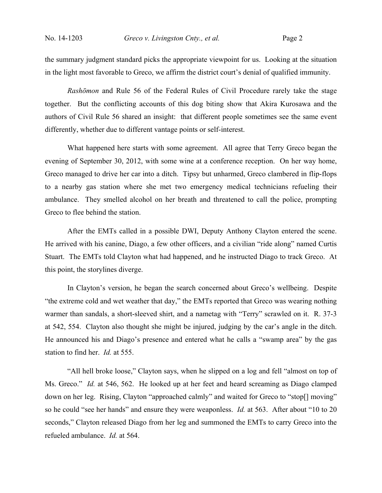the summary judgment standard picks the appropriate viewpoint for us. Looking at the situation in the light most favorable to Greco, we affirm the district court's denial of qualified immunity.

*Rashōmon* and Rule 56 of the Federal Rules of Civil Procedure rarely take the stage together. But the conflicting accounts of this dog biting show that Akira Kurosawa and the authors of Civil Rule 56 shared an insight: that different people sometimes see the same event differently, whether due to different vantage points or self-interest.

What happened here starts with some agreement. All agree that Terry Greco began the evening of September 30, 2012, with some wine at a conference reception. On her way home, Greco managed to drive her car into a ditch. Tipsy but unharmed, Greco clambered in flip-flops to a nearby gas station where she met two emergency medical technicians refueling their ambulance. They smelled alcohol on her breath and threatened to call the police, prompting Greco to flee behind the station.

After the EMTs called in a possible DWI, Deputy Anthony Clayton entered the scene. He arrived with his canine, Diago, a few other officers, and a civilian "ride along" named Curtis Stuart. The EMTs told Clayton what had happened, and he instructed Diago to track Greco. At this point, the storylines diverge.

In Clayton's version, he began the search concerned about Greco's wellbeing. Despite "the extreme cold and wet weather that day," the EMTs reported that Greco was wearing nothing warmer than sandals, a short-sleeved shirt, and a nametag with "Terry" scrawled on it. R. 37-3 at 542, 554. Clayton also thought she might be injured, judging by the car's angle in the ditch. He announced his and Diago's presence and entered what he calls a "swamp area" by the gas station to find her. *Id.* at 555.

"All hell broke loose," Clayton says, when he slipped on a log and fell "almost on top of Ms. Greco." *Id.* at 546, 562. He looked up at her feet and heard screaming as Diago clamped down on her leg. Rising, Clayton "approached calmly" and waited for Greco to "stop[] moving" so he could "see her hands" and ensure they were weaponless. *Id.* at 563. After about "10 to 20 seconds," Clayton released Diago from her leg and summoned the EMTs to carry Greco into the refueled ambulance. *Id.* at 564.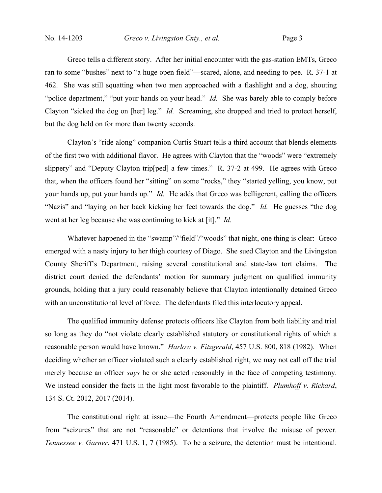Greco tells a different story. After her initial encounter with the gas-station EMTs, Greco ran to some "bushes" next to "a huge open field"—scared, alone, and needing to pee. R. 37-1 at 462. She was still squatting when two men approached with a flashlight and a dog, shouting "police department," "put your hands on your head." *Id.* She was barely able to comply before Clayton "sicked the dog on [her] leg." *Id.* Screaming, she dropped and tried to protect herself, but the dog held on for more than twenty seconds.

Clayton's "ride along" companion Curtis Stuart tells a third account that blends elements of the first two with additional flavor. He agrees with Clayton that the "woods" were "extremely slippery" and "Deputy Clayton trip[ped] a few times." R. 37-2 at 499. He agrees with Greco that, when the officers found her "sitting" on some "rocks," they "started yelling, you know, put your hands up, put your hands up." *Id.* He adds that Greco was belligerent, calling the officers "Nazis" and "laying on her back kicking her feet towards the dog." *Id.* He guesses "the dog went at her leg because she was continuing to kick at [it]." *Id.*

Whatever happened in the "swamp"/"field"/"woods" that night, one thing is clear: Greco emerged with a nasty injury to her thigh courtesy of Diago. She sued Clayton and the Livingston County Sheriff's Department, raising several constitutional and state-law tort claims. The district court denied the defendants' motion for summary judgment on qualified immunity grounds, holding that a jury could reasonably believe that Clayton intentionally detained Greco with an unconstitutional level of force. The defendants filed this interlocutory appeal.

The qualified immunity defense protects officers like Clayton from both liability and trial so long as they do "not violate clearly established statutory or constitutional rights of which a reasonable person would have known." *Harlow v. Fitzgerald*, 457 U.S. 800, 818 (1982). When deciding whether an officer violated such a clearly established right, we may not call off the trial merely because an officer *says* he or she acted reasonably in the face of competing testimony. We instead consider the facts in the light most favorable to the plaintiff. *Plumhoff v. Rickard*, 134 S. Ct. 2012, 2017 (2014).

The constitutional right at issue—the Fourth Amendment—protects people like Greco from "seizures" that are not "reasonable" or detentions that involve the misuse of power. *Tennessee v. Garner*, 471 U.S. 1, 7 (1985). To be a seizure, the detention must be intentional.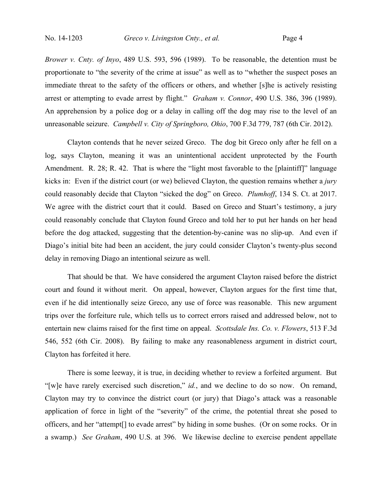*Brower v. Cnty. of Inyo*, 489 U.S. 593, 596 (1989). To be reasonable, the detention must be proportionate to "the severity of the crime at issue" as well as to "whether the suspect poses an immediate threat to the safety of the officers or others, and whether [s]he is actively resisting arrest or attempting to evade arrest by flight." *Graham v. Connor*, 490 U.S. 386, 396 (1989). An apprehension by a police dog or a delay in calling off the dog may rise to the level of an unreasonable seizure. *Campbell v. City of Springboro, Ohio*, 700 F.3d 779, 787 (6th Cir. 2012).

Clayton contends that he never seized Greco. The dog bit Greco only after he fell on a log, says Clayton, meaning it was an unintentional accident unprotected by the Fourth Amendment. R. 28; R. 42. That is where the "light most favorable to the [plaintiff]" language kicks in: Even if the district court (or we) believed Clayton, the question remains whether a *jury* could reasonably decide that Clayton "sicked the dog" on Greco. *Plumhoff*, 134 S. Ct. at 2017. We agree with the district court that it could. Based on Greco and Stuart's testimony, a jury could reasonably conclude that Clayton found Greco and told her to put her hands on her head before the dog attacked, suggesting that the detention-by-canine was no slip-up. And even if Diago's initial bite had been an accident, the jury could consider Clayton's twenty-plus second delay in removing Diago an intentional seizure as well.

That should be that. We have considered the argument Clayton raised before the district court and found it without merit. On appeal, however, Clayton argues for the first time that, even if he did intentionally seize Greco, any use of force was reasonable. This new argument trips over the forfeiture rule, which tells us to correct errors raised and addressed below, not to entertain new claims raised for the first time on appeal. *Scottsdale Ins. Co. v. Flowers*, 513 F.3d 546, 552 (6th Cir. 2008). By failing to make any reasonableness argument in district court, Clayton has forfeited it here.

There is some leeway, it is true, in deciding whether to review a forfeited argument. But "[w]e have rarely exercised such discretion," *id.*, and we decline to do so now. On remand, Clayton may try to convince the district court (or jury) that Diago's attack was a reasonable application of force in light of the "severity" of the crime, the potential threat she posed to officers, and her "attempt[] to evade arrest" by hiding in some bushes. (Or on some rocks. Or in a swamp.) *See Graham*, 490 U.S. at 396. We likewise decline to exercise pendent appellate